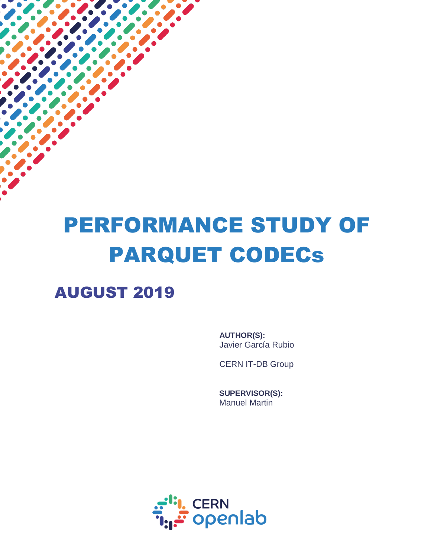# PERFORMANCE STUDY OF PARQUET CODECs

## AUGUST 2019

í

**AUTHOR(S):** Javier García Rubio

CERN IT-DB Group

**SUPERVISOR(S):** Manuel Martin

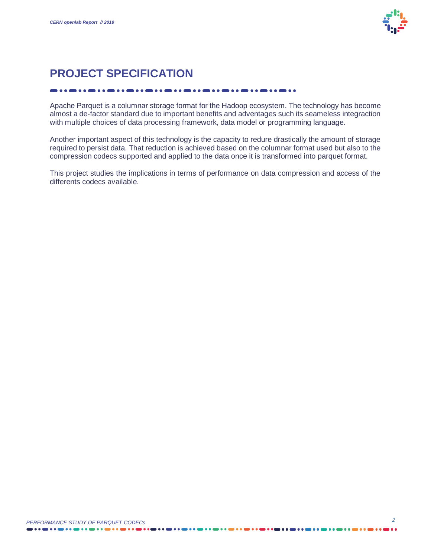

### **PROJECT SPECIFICATION**

#### 

Apache Parquet is a columnar storage format for the Hadoop ecosystem. The technology has become almost a de-factor standard due to important benefits and adventages such its seameless integraction with multiple choices of data processing framework, data model or programming language.

Another important aspect of this technology is the capacity to redure drastically the amount of storage required to persist data. That reduction is achieved based on the columnar format used but also to the compression codecs supported and applied to the data once it is transformed into parquet format.

This project studies the implications in terms of performance on data compression and access of the differents codecs available.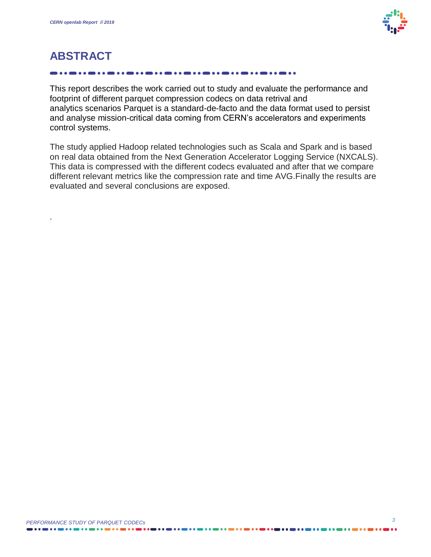

### **ABSTRACT**

.

This report describes the work carried out to study and evaluate the performance and footprint of different parquet compression codecs on data retrival and analytics scenarios Parquet is a standard-de-facto and the data format used to persist and analyse mission-critical data coming from CERN's accelerators and experiments control systems.

The study applied Hadoop related technologies such as Scala and Spark and is based on real data obtained from the Next Generation Accelerator Logging Service (NXCALS). This data is compressed with the different codecs evaluated and after that we compare different relevant metrics like the compression rate and time AVG.Finally the results are evaluated and several conclusions are exposed.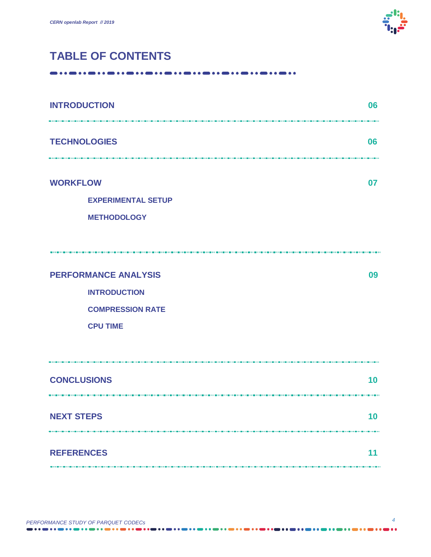

### **TABLE OF CONTENTS**

| <b>INTRODUCTION</b>                                                                              | 06 |
|--------------------------------------------------------------------------------------------------|----|
| <b>TECHNOLOGIES</b>                                                                              | 06 |
| <b>WORKFLOW</b><br><b>EXPERIMENTAL SETUP</b><br><b>METHODOLOGY</b>                               | 07 |
| <b>PERFORMANCE ANALYSIS</b><br><b>INTRODUCTION</b><br><b>COMPRESSION RATE</b><br><b>CPU TIME</b> | 09 |
| <b>CONCLUSIONS</b>                                                                               | 10 |
| <b>NEXT STEPS</b>                                                                                | 10 |
| <b>REFERENCES</b>                                                                                | 11 |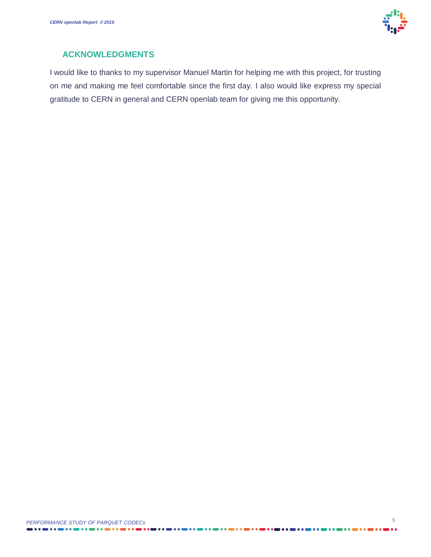

#### **ACKNOWLEDGMENTS**

I would like to thanks to my supervisor Manuel Martin for helping me with this project, for trusting on me and making me feel comfortable since the first day. I also would like express my special gratitude to CERN in general and CERN openlab team for giving me this opportunity.

. . . . . . . . . . . . . . . . .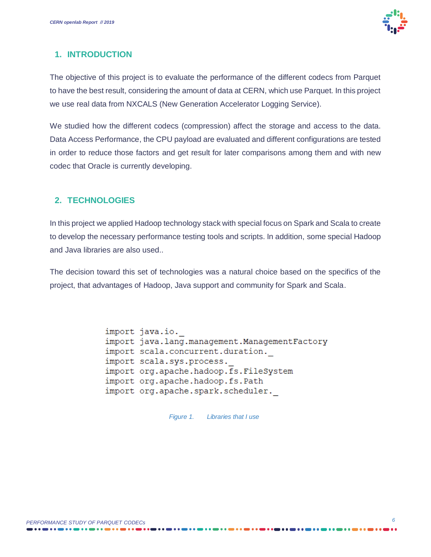

#### **1. INTRODUCTION**

The objective of this project is to evaluate the performance of the different codecs from Parquet to have the best result, considering the amount of data at CERN, which use Parquet. In this project we use real data from NXCALS (New Generation Accelerator Logging Service).

We studied how the different codecs (compression) affect the storage and access to the data. Data Access Performance, the CPU payload are evaluated and different configurations are tested in order to reduce those factors and get result for later comparisons among them and with new codec that Oracle is currently developing.

#### **2. TECHNOLOGIES**

In this project we applied Hadoop technology stack with special focus on Spark and Scala to create to develop the necessary performance testing tools and scripts. In addition, some special Hadoop and Java libraries are also used..

The decision toward this set of technologies was a natural choice based on the specifics of the project, that advantages of Hadoop, Java support and community for Spark and Scala.

> import java.io. import java.lang.management.ManagementFactory import scala.concurrent.duration. import scala.sys.process. import org.apache.hadoop.fs.FileSystem import org.apache.hadoop.fs.Path import org.apache.spark.scheduler.

> > *Figure 1. Libraries that I use*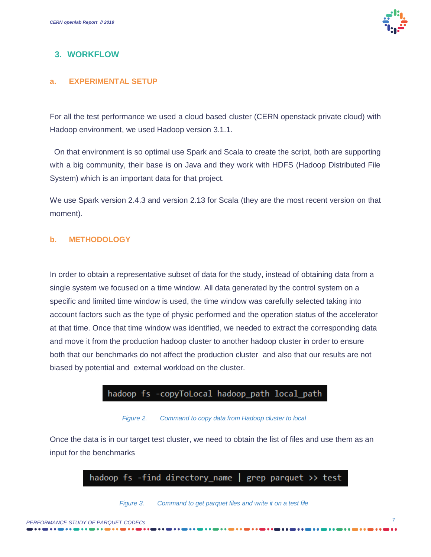

#### **3. WORKFLOW**

#### **a. EXPERIMENTAL SETUP**

For all the test performance we used a cloud based cluster (CERN openstack private cloud) with Hadoop environment, we used Hadoop version 3.1.1.

 On that environment is so optimal use Spark and Scala to create the script, both are supporting with a big community, their base is on Java and they work with HDFS (Hadoop Distributed File System) which is an important data for that project.

We use Spark version 2.4.3 and version 2.13 for Scala (they are the most recent version on that moment).

#### **b. METHODOLOGY**

In order to obtain a representative subset of data for the study, instead of obtaining data from a single system we focused on a time window. All data generated by the control system on a specific and limited time window is used, the time window was carefully selected taking into account factors such as the type of physic performed and the operation status of the accelerator at that time. Once that time window was identified, we needed to extract the corresponding data and move it from the production hadoop cluster to another hadoop cluster in order to ensure both that our benchmarks do not affect the production cluster and also that our results are not biased by potential and external workload on the cluster.

#### hadoop fs -copyToLocal hadoop\_path local\_path

#### *Figure 2. Command to copy data from Hadoop cluster to local*

Once the data is in our target test cluster, we need to obtain the list of files and use them as an input for the benchmarks



#### *Figure 3. Command to get parquet files and write it on a test file*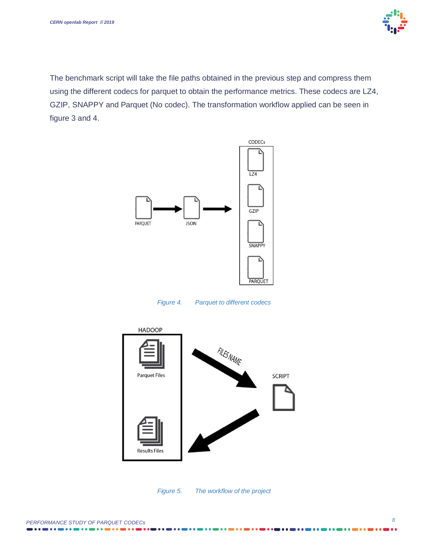

The benchmark script will take the file paths obtained in the previous step and compress them using the different codecs for parquet to obtain the performance metrics. These codecs are LZ4, GZIP, SNAPPY and Parquet (No codec). The transformation workflow applied can be seen in figure 3 and 4.



*Figure 4. Parquet to different codecs*





. . . .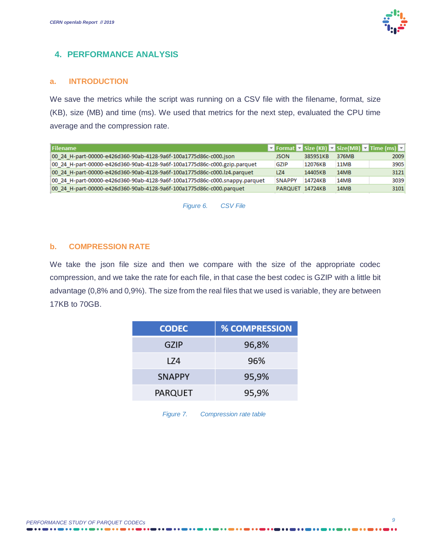#### **4. PERFORMANCE ANALYSIS**

#### **a. INTRODUCTION**

We save the metrics while the script was running on a CSV file with the filename, format, size (KB), size (MB) and time (ms). We used that metrics for the next step, evaluated the CPU time average and the compression rate.

| <b>JSON</b>   | 385951KB | 376MB           | 2009                                          |
|---------------|----------|-----------------|-----------------------------------------------|
| GZIP          | 12076KB  | 11MB            | 3905                                          |
| LZ4           | 14405KB  | 14MB            | 3121                                          |
| <b>SNAPPY</b> | 14724KB  | 14MB            | 3039                                          |
|               |          | 14MB            | 3101                                          |
|               |          | PARQUET 14724KB | ▼ Format ▼ Size (KB) ▼ Size(MB) ▼ Time (ms) ▼ |

*Figure 6. CSV File*

#### **b. COMPRESSION RATE**

We take the json file size and then we compare with the size of the appropriate codec compression, and we take the rate for each file, in that case the best codec is GZIP with a little bit advantage (0,8% and 0,9%). The size from the real files that we used is variable, they are between 17KB to 70GB.

| <b>CODEC</b>  | <b>% COMPRESSION</b> |
|---------------|----------------------|
| GZIP          | 96,8%                |
| 174           | 96%                  |
| <b>SNAPPY</b> | 95,9%                |
| PARQUET       | 95,9%                |

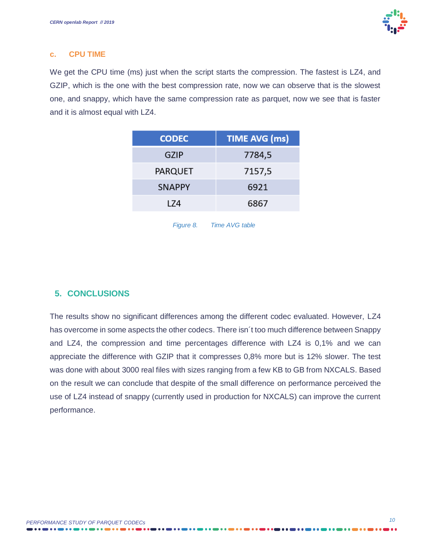#### **c. CPU TIME**

We get the CPU time (ms) just when the script starts the compression. The fastest is LZ4, and GZIP, which is the one with the best compression rate, now we can observe that is the slowest one, and snappy, which have the same compression rate as parquet, now we see that is faster and it is almost equal with LZ4.

| <b>CODEC</b>   | <b>TIME AVG (ms)</b> |
|----------------|----------------------|
| GZIP           | 7784,5               |
| <b>PARQUET</b> | 7157,5               |
| <b>SNAPPY</b>  | 6921                 |
| 174            | 6867                 |

|           | <b>Time AVG table</b> |  |
|-----------|-----------------------|--|
| Figure 8. |                       |  |

#### **5. CONCLUSIONS**

The results show no significant differences among the different codec evaluated. However, LZ4 has overcome in some aspects the other codecs. There isn´t too much difference between Snappy and LZ4, the compression and time percentages difference with LZ4 is 0,1% and we can appreciate the difference with GZIP that it compresses 0,8% more but is 12% slower. The test was done with about 3000 real files with sizes ranging from a few KB to GB from NXCALS. Based on the result we can conclude that despite of the small difference on performance perceived the use of LZ4 instead of snappy (currently used in production for NXCALS) can improve the current performance.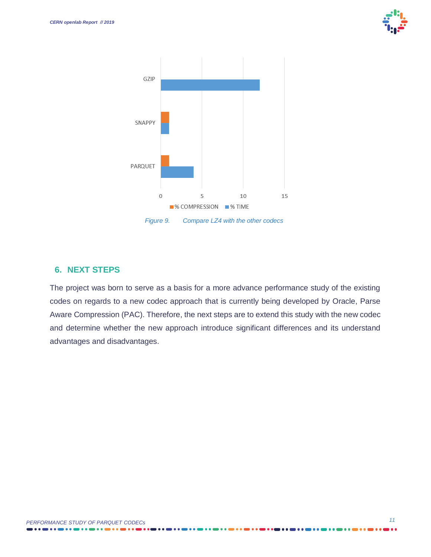



#### **6. NEXT STEPS**

The project was born to serve as a basis for a more advance performance study of the existing codes on regards to a new codec approach that is currently being developed by Oracle, Parse Aware Compression (PAC). Therefore, the next steps are to extend this study with the new codec and determine whether the new approach introduce significant differences and its understand advantages and disadvantages.